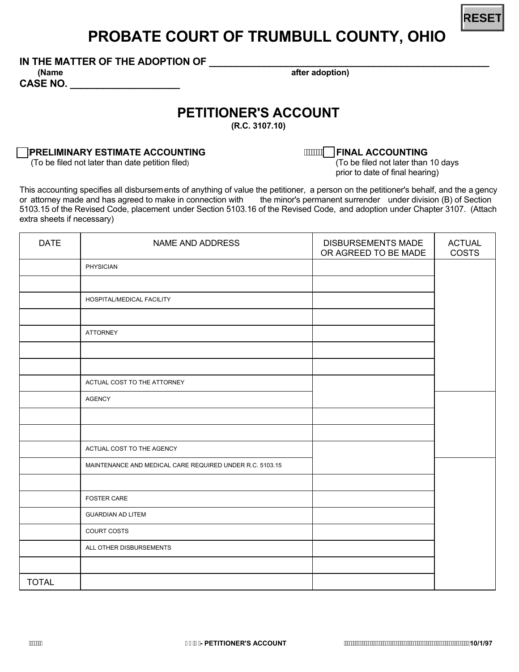

## **PROBATE COURT OF TRUMBULL COUNTY, OHIO**

IN THE MATTER OF THE ADOPTION OF

**CASE NO. \_\_\_\_\_\_\_\_\_\_\_\_\_\_\_\_\_\_\_\_** 

 **(Name after adoption)**

## **PETITIONER'S ACCOUNT**

**(R.C. 3107.55)**

## **PRELIMINARY ESTIMATE ACCOUNTING**<br>(To be filed not later than date petition filed) (To be filed not later than 10 days

(To be filed not later than date petition filed)

prior to date of final hearing)

This accounting specifies all disbursements of anything of value the petitioner, a person on the petitioner's behalf, and the a gency or attorney made and has agreed to make in connection with the minor's permanent surrender under division (B) of Section 5103.15 of the Revised Code, placement under Section 5103.16 of the Revised Code, and adoption under Chapter 3107. (Attach extra sheets if necessary)

| <b>DATE</b>  | NAME AND ADDRESS                                         | <b>DISBURSEMENTS MADE</b><br>OR AGREED TO BE MADE | <b>ACTUAL</b><br>COSTS |
|--------------|----------------------------------------------------------|---------------------------------------------------|------------------------|
|              | PHYSICIAN                                                |                                                   |                        |
|              |                                                          |                                                   |                        |
|              | HOSPITAL/MEDICAL FACILITY                                |                                                   |                        |
|              |                                                          |                                                   |                        |
|              | ATTORNEY                                                 |                                                   |                        |
|              |                                                          |                                                   |                        |
|              |                                                          |                                                   |                        |
|              | ACTUAL COST TO THE ATTORNEY                              |                                                   |                        |
|              | AGENCY                                                   |                                                   |                        |
|              |                                                          |                                                   |                        |
|              |                                                          |                                                   |                        |
|              | ACTUAL COST TO THE AGENCY                                |                                                   |                        |
|              | MAINTENANCE AND MEDICAL CARE REQUIRED UNDER R.C. 5103.15 |                                                   |                        |
|              |                                                          |                                                   |                        |
|              | <b>FOSTER CARE</b>                                       |                                                   |                        |
|              | <b>GUARDIAN AD LITEM</b>                                 |                                                   |                        |
|              | COURT COSTS                                              |                                                   |                        |
|              | ALL OTHER DISBURSEMENTS                                  |                                                   |                        |
|              |                                                          |                                                   |                        |
| <b>TOTAL</b> |                                                          |                                                   |                        |